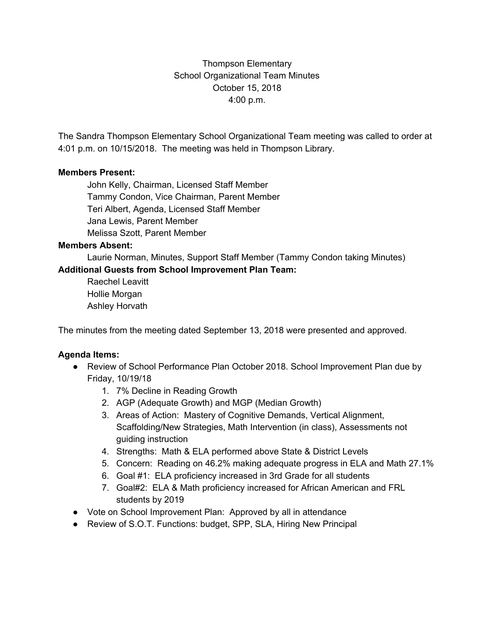Thompson Elementary School Organizational Team Minutes October 15, 2018 4:00 p.m.

The Sandra Thompson Elementary School Organizational Team meeting was called to order at 4:01 p.m. on 10/15/2018. The meeting was held in Thompson Library.

### **Members Present:**

John Kelly, Chairman, Licensed Staff Member Tammy Condon, Vice Chairman, Parent Member Teri Albert, Agenda, Licensed Staff Member Jana Lewis, Parent Member Melissa Szott, Parent Member

#### **Members Absent:**

Laurie Norman, Minutes, Support Staff Member (Tammy Condon taking Minutes) **Additional Guests from School Improvement Plan Team:**

Raechel Leavitt Hollie Morgan Ashley Horvath

The minutes from the meeting dated September 13, 2018 were presented and approved.

### **Agenda Items:**

- Review of School Performance Plan October 2018. School Improvement Plan due by Friday, 10/19/18
	- 1. 7% Decline in Reading Growth
	- 2. AGP (Adequate Growth) and MGP (Median Growth)
	- 3. Areas of Action: Mastery of Cognitive Demands, Vertical Alignment, Scaffolding/New Strategies, Math Intervention (in class), Assessments not guiding instruction
	- 4. Strengths: Math & ELA performed above State & District Levels
	- 5. Concern: Reading on 46.2% making adequate progress in ELA and Math 27.1%
	- 6. Goal #1: ELA proficiency increased in 3rd Grade for all students
	- 7. Goal#2: ELA & Math proficiency increased for African American and FRL students by 2019
- Vote on School Improvement Plan: Approved by all in attendance
- Review of S.O.T. Functions: budget, SPP, SLA, Hiring New Principal